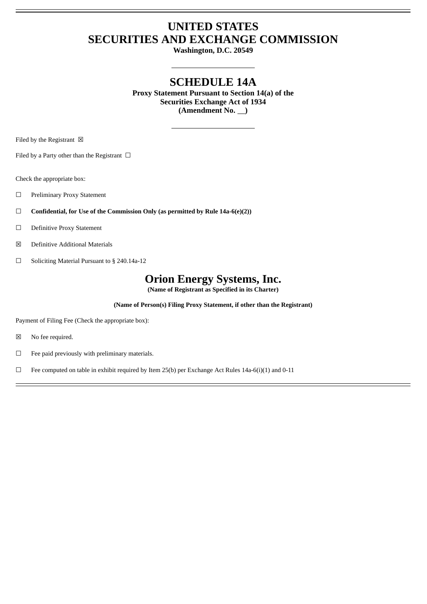## **UNITED STATES SECURITIES AND EXCHANGE COMMISSION**

**Washington, D.C. 20549**

## **SCHEDULE 14A**

**Proxy Statement Pursuant to Section 14(a) of the Securities Exchange Act of 1934** (Amendment No.  $\qquad$ )

Filed by the Registrant  $\boxtimes$ 

Filed by a Party other than the Registrant  $\Box$ 

Check the appropriate box:

- ☐ Preliminary Proxy Statement
- ☐ **Confidential, for Use of the Commission Only (as permitted by Rule 14a-6(e)(2))**
- ☐ Definitive Proxy Statement
- ☒ Definitive Additional Materials
- ☐ Soliciting Material Pursuant to § 240.14a-12

# **Orion Energy Systems, Inc.**

**(Name of Registrant as Specified in its Charter)**

**(Name of Person(s) Filing Proxy Statement, if other than the Registrant)**

Payment of Filing Fee (Check the appropriate box):

- ☒ No fee required.
- ☐ Fee paid previously with preliminary materials.

 $\Box$  Fee computed on table in exhibit required by Item 25(b) per Exchange Act Rules 14a-6(i)(1) and 0-11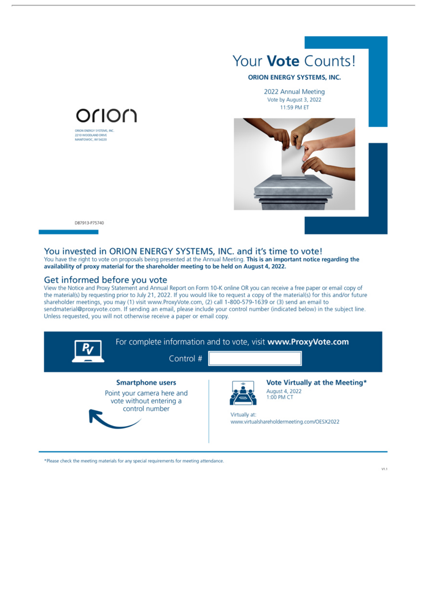

#### **ORION ENERGY SYSTEMS, INC.**

2022 Annual Meeting Vote by August 3, 2022 11:59 PM ET



D87913-P75740

#### You invested in ORION ENERGY SYSTEMS, INC. and it's time to vote!

You have the right to vote on proposals being presented at the Annual Meeting. This is an important notice regarding the availability of proxy material for the shareholder meeting to be held on August 4, 2022.

#### Get informed before you vote

Orlon

ORON ENERGY SYSTEMS, INC<br>2210 WOODLAND DRIVE<br>MANITOWOC, WI 54220

View the Notice and Proxy Statement and Annual Report on Form 10-K online OR you can receive a free paper or email copy of the material(s) by requesting prior to July 21, 2022. If you would like to request a copy of the material(s) for this and/or future shareholder meetings, you may (1) visit www.ProxyVote.com, (2) call 1-800-579-1639 or (3) send an email to sendmaterial@proxyvote.com. If sending an email, please include your control number (indicated below) in the subject line. Unless requested, you will not otherwise receive a paper or email copy.

| R                                                                                                  | Control #     | For complete information and to vote, visit www.ProxyVote.com                                                |
|----------------------------------------------------------------------------------------------------|---------------|--------------------------------------------------------------------------------------------------------------|
| <b>Smartphone users</b><br>Point your camera here and<br>vote without entering a<br>control number | Virtually at: | Vote Virtually at the Meeting*<br>August 4, 2022<br>1:00 PM CT<br>www.virtualshareholdermeeting.com/OESX2022 |

\*Please check the meeting materials for any special requirements for meeting attendance.

 $V1.1$